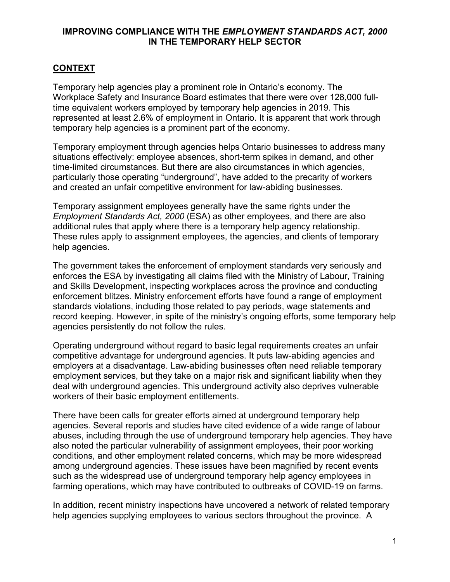# **CONTEXT**

Temporary help agencies play a prominent role in Ontario's economy. The Workplace Safety and Insurance Board estimates that there were over 128,000 fulltime equivalent workers employed by temporary help agencies in 2019. This represented at least 2.6% of employment in Ontario. It is apparent that work through temporary help agencies is a prominent part of the economy.

Temporary employment through agencies helps Ontario businesses to address many situations effectively: employee absences, short-term spikes in demand, and other time-limited circumstances. But there are also circumstances in which agencies, particularly those operating "underground", have added to the precarity of workers and created an unfair competitive environment for law-abiding businesses.

Temporary assignment employees generally have the same rights under the *Employment Standards Act, 2000* (ESA) as other employees, and there are also additional rules that apply where there is a temporary help agency relationship. These rules apply to assignment employees, the agencies, and clients of temporary help agencies.

The government takes the enforcement of employment standards very seriously and enforces the ESA by investigating all claims filed with the Ministry of Labour, Training and Skills Development, inspecting workplaces across the province and conducting enforcement blitzes. Ministry enforcement efforts have found a range of employment standards violations, including those related to pay periods, wage statements and record keeping. However, in spite of the ministry's ongoing efforts, some temporary help agencies persistently do not follow the rules.

Operating underground without regard to basic legal requirements creates an unfair competitive advantage for underground agencies. It puts law-abiding agencies and employers at a disadvantage. Law-abiding businesses often need reliable temporary employment services, but they take on a major risk and significant liability when they deal with underground agencies. This underground activity also deprives vulnerable workers of their basic employment entitlements.

There have been calls for greater efforts aimed at underground temporary help agencies. Several reports and studies have cited evidence of a wide range of labour abuses, including through the use of underground temporary help agencies. They have also noted the particular vulnerability of assignment employees, their poor working conditions, and other employment related concerns, which may be more widespread among underground agencies. These issues have been magnified by recent events such as the widespread use of underground temporary help agency employees in farming operations, which may have contributed to outbreaks of COVID-19 on farms.

In addition, recent ministry inspections have uncovered a network of related temporary help agencies supplying employees to various sectors throughout the province. A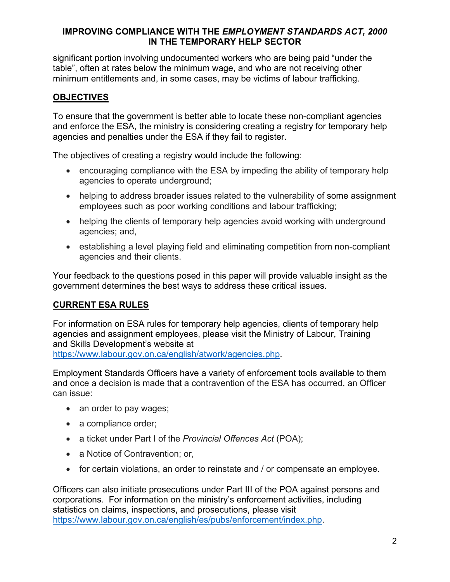significant portion involving undocumented workers who are being paid "under the table", often at rates below the minimum wage, and who are not receiving other minimum entitlements and, in some cases, may be victims of labour trafficking.

# **OBJECTIVES**

To ensure that the government is better able to locate these non-compliant agencies and enforce the ESA, the ministry is considering creating a registry for temporary help agencies and penalties under the ESA if they fail to register.

The objectives of creating a registry would include the following:

- encouraging compliance with the ESA by impeding the ability of temporary help agencies to operate underground;
- helping to address broader issues related to the vulnerability of some assignment employees such as poor working conditions and labour trafficking;
- helping the clients of temporary help agencies avoid working with underground agencies; and,
- establishing a level playing field and eliminating competition from non-compliant agencies and their clients.

Your feedback to the questions posed in this paper will provide valuable insight as the government determines the best ways to address these critical issues.

# **CURRENT ESA RULES**

For information on ESA rules for temporary help agencies, clients of temporary help agencies and assignment employees, please visit the Ministry of Labour, Training and Skills Development's website at [https://www.labour.gov.on.ca/english/atwork/agencies.php.](https://www.labour.gov.on.ca/english/atwork/agencies.php)

Employment Standards Officers have a variety of enforcement tools available to them and once a decision is made that a contravention of the ESA has occurred, an Officer can issue:

- an order to pay wages;
- a compliance order;
- a ticket under Part I of the *Provincial Offences Act* (POA);
- a Notice of Contravention: or,
- for certain violations, an order to reinstate and / or compensate an employee.

Officers can also initiate prosecutions under Part III of the POA against persons and corporations. For information on the ministry's enforcement activities, including statistics on claims, inspections, and prosecutions, please visit <https://www.labour.gov.on.ca/english/es/pubs/enforcement/index.php>.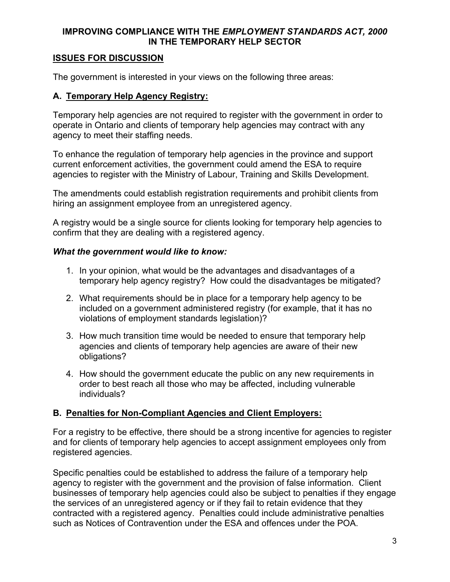# **ISSUES FOR DISCUSSION**

The government is interested in your views on the following three areas:

# **A. Temporary Help Agency Registry:**

Temporary help agencies are not required to register with the government in order to operate in Ontario and clients of temporary help agencies may contract with any agency to meet their staffing needs.

To enhance the regulation of temporary help agencies in the province and support current enforcement activities, the government could amend the ESA to require agencies to register with the Ministry of Labour, Training and Skills Development.

The amendments could establish registration requirements and prohibit clients from hiring an assignment employee from an unregistered agency.

A registry would be a single source for clients looking for temporary help agencies to confirm that they are dealing with a registered agency.

#### *What the government would like to know:*

- 1. In your opinion, what would be the advantages and disadvantages of a temporary help agency registry? How could the disadvantages be mitigated?
- 2. What requirements should be in place for a temporary help agency to be included on a government administered registry (for example, that it has no violations of employment standards legislation)?
- 3. How much transition time would be needed to ensure that temporary help agencies and clients of temporary help agencies are aware of their new obligations?
- 4. How should the government educate the public on any new requirements in order to best reach all those who may be affected, including vulnerable individuals?

#### **B. Penalties for Non-Compliant Agencies and Client Employers:**

For a registry to be effective, there should be a strong incentive for agencies to register and for clients of temporary help agencies to accept assignment employees only from registered agencies.

Specific penalties could be established to address the failure of a temporary help agency to register with the government and the provision of false information. Client businesses of temporary help agencies could also be subject to penalties if they engage the services of an unregistered agency or if they fail to retain evidence that they contracted with a registered agency. Penalties could include administrative penalties such as Notices of Contravention under the ESA and offences under the POA.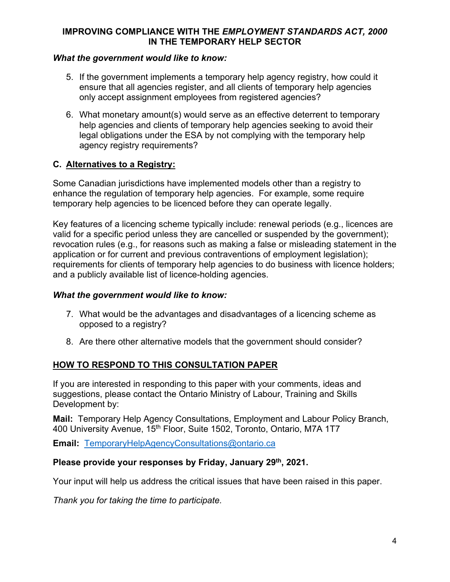## *What the government would like to know:*

- 5. If the government implements a temporary help agency registry, how could it ensure that all agencies register, and all clients of temporary help agencies only accept assignment employees from registered agencies?
- 6. What monetary amount(s) would serve as an effective deterrent to temporary help agencies and clients of temporary help agencies seeking to avoid their legal obligations under the ESA by not complying with the temporary help agency registry requirements?

# **C. Alternatives to a Registry:**

Some Canadian jurisdictions have implemented models other than a registry to enhance the regulation of temporary help agencies. For example, some require temporary help agencies to be licenced before they can operate legally.

Key features of a licencing scheme typically include: renewal periods (e.g., licences are valid for a specific period unless they are cancelled or suspended by the government); revocation rules (e.g., for reasons such as making a false or misleading statement in the application or for current and previous contraventions of employment legislation); requirements for clients of temporary help agencies to do business with licence holders; and a publicly available list of licence-holding agencies.

#### *What the government would like to know:*

- 7. What would be the advantages and disadvantages of a licencing scheme as opposed to a registry?
- 8. Are there other alternative models that the government should consider?

# **HOW TO RESPOND TO THIS CONSULTATION PAPER**

If you are interested in responding to this paper with your comments, ideas and suggestions, please contact the Ontario Ministry of Labour, Training and Skills Development by:

**Mail:** Temporary Help Agency Consultations, Employment and Labour Policy Branch, 400 University Avenue, 15<sup>th</sup> Floor, Suite 1502, Toronto, Ontario, M7A 1T7

**Email:** [TemporaryHelpAgencyConsultations@ontario.ca](mailto:TemporaryHelpAgencyConsultations@ontario.ca)

#### **Please provide your responses by Friday, January 29th, 2021.**

Your input will help us address the critical issues that have been raised in this paper.

*Thank you for taking the time to participate.*